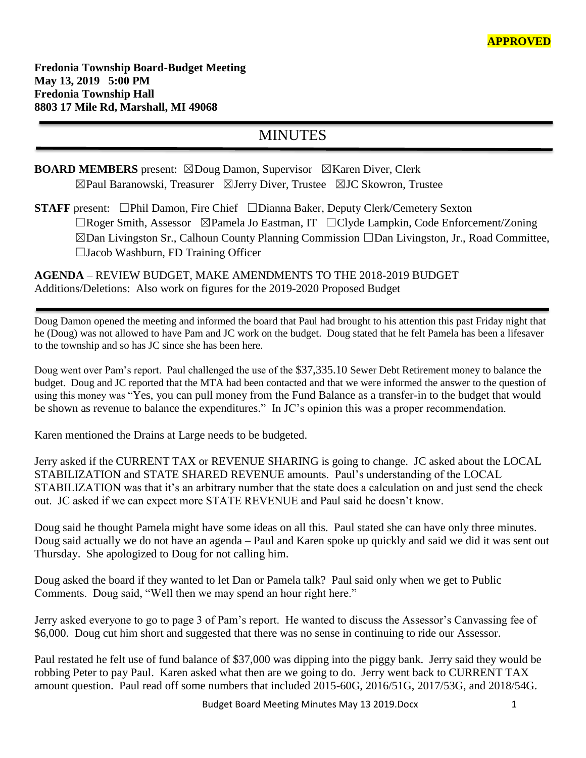## MINUTES

**BOARD MEMBERS** present: ⊠Doug Damon, Supervisor ⊠Karen Diver, Clerk ☒Paul Baranowski, Treasurer ☒Jerry Diver, Trustee ☒JC Skowron, Trustee

**STAFF** present: ☐Phil Damon, Fire Chief ☐Dianna Baker, Deputy Clerk/Cemetery Sexton ☐Roger Smith, Assessor ☒Pamela Jo Eastman, IT ☐Clyde Lampkin, Code Enforcement/Zoning ☒Dan Livingston Sr., Calhoun County Planning Commission ☐Dan Livingston, Jr., Road Committee, ☐Jacob Washburn, FD Training Officer

**AGENDA** – REVIEW BUDGET, MAKE AMENDMENTS TO THE 2018-2019 BUDGET Additions/Deletions: Also work on figures for the 2019-2020 Proposed Budget

Doug Damon opened the meeting and informed the board that Paul had brought to his attention this past Friday night that he (Doug) was not allowed to have Pam and JC work on the budget. Doug stated that he felt Pamela has been a lifesaver to the township and so has JC since she has been here.

Doug went over Pam's report. Paul challenged the use of the \$37,335.10 Sewer Debt Retirement money to balance the budget. Doug and JC reported that the MTA had been contacted and that we were informed the answer to the question of using this money was "Yes, you can pull money from the Fund Balance as a transfer-in to the budget that would be shown as revenue to balance the expenditures." In JC's opinion this was a proper recommendation.

Karen mentioned the Drains at Large needs to be budgeted.

Jerry asked if the CURRENT TAX or REVENUE SHARING is going to change. JC asked about the LOCAL STABILIZATION and STATE SHARED REVENUE amounts. Paul's understanding of the LOCAL STABILIZATION was that it's an arbitrary number that the state does a calculation on and just send the check out. JC asked if we can expect more STATE REVENUE and Paul said he doesn't know.

Doug said he thought Pamela might have some ideas on all this. Paul stated she can have only three minutes. Doug said actually we do not have an agenda – Paul and Karen spoke up quickly and said we did it was sent out Thursday. She apologized to Doug for not calling him.

Doug asked the board if they wanted to let Dan or Pamela talk? Paul said only when we get to Public Comments. Doug said, "Well then we may spend an hour right here."

Jerry asked everyone to go to page 3 of Pam's report. He wanted to discuss the Assessor's Canvassing fee of \$6,000. Doug cut him short and suggested that there was no sense in continuing to ride our Assessor.

Paul restated he felt use of fund balance of \$37,000 was dipping into the piggy bank. Jerry said they would be robbing Peter to pay Paul. Karen asked what then are we going to do. Jerry went back to CURRENT TAX amount question. Paul read off some numbers that included 2015-60G, 2016/51G, 2017/53G, and 2018/54G.